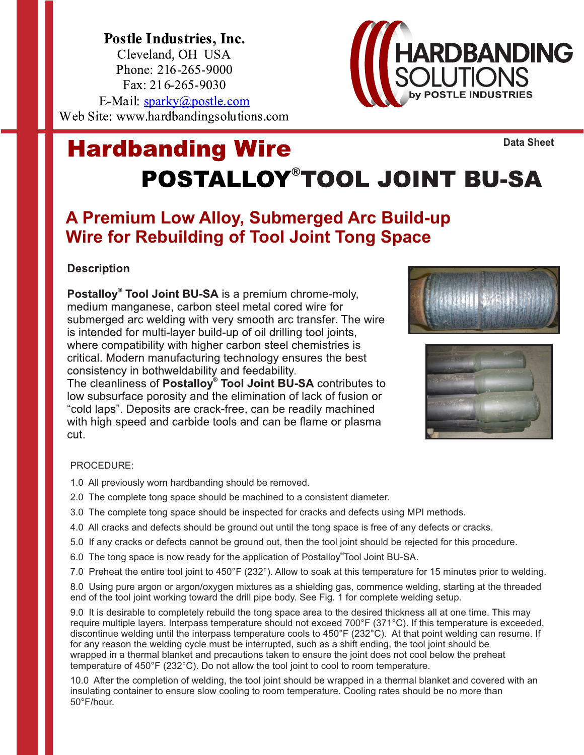Postle Industries, Inc. Cleveland, OH USA Phone: 216-265-9000 Fax: 216-265-9030 E-Mail: sparky@postle.com Web Site: www.hardbandingsolutions.com

## **Hardbanding Wire POSTALLOY®TOOL JOINT BU-SA**

### **A Premium Low Alloy, Submerged Arc Build-up Wire for Rebuilding of Tool Joint Tong Space**

#### **Description**

Postalloy® Tool Joint BU-SA is a premium chrome-moly, medium manganese, carbon steel metal cored wire for submerged arc welding with very smooth arc transfer. The wire is intended for multi-layer build-up of oil drilling tool joints, where compatibility with higher carbon steel chemistries is critical. Modern manufacturing technology ensures the best consistency in bothweldability and feedability.

The cleanliness of Postalloy<sup>®</sup> Tool Joint BU-SA contributes to low subsurface porosity and the elimination of lack of fusion or "cold laps". Deposits are crack-free, can be readily machined with high speed and carbide tools and can be flame or plasma cut.

#### PROCEDURE:

1.0 All previously worn hardbanding should be removed.

- 2.0 The complete tong space should be machined to a consistent diameter.
- 3.0 The complete tong space should be inspected for cracks and defects using MPI methods.
- 4.0 All cracks and defects should be ground out until the tong space is free of any defects or cracks.
- 5.0 If any cracks or defects cannot be ground out, then the tool joint should be rejected for this procedure.
- 6.0 The tong space is now ready for the application of Postalloy®Tool Joint BU-SA.
- 7.0 Preheat the entire tool joint to 450°F (232°). Allow to soak at this temperature for 15 minutes prior to welding.

8.0 Using pure argon or argon/oxygen mixtures as a shielding gas, commence welding, starting at the threaded end of the tool joint working toward the drill pipe body. See Fig. 1 for complete welding setup.

9.0 It is desirable to completely rebuild the tong space area to the desired thickness all at one time. This may require multiple layers. Interpass temperature should not exceed 700°F (371°C). If this temperature is exceeded, discontinue welding until the interpass temperature cools to 450°F (232°C). At that point welding can resume. If for any reason the welding cycle must be interrupted, such as a shift ending, the tool joint should be wrapped in a thermal blanket and precautions taken to ensure the joint does not cool below the preheat temperature of 450°F (232°C). Do not allow the tool joint to cool to room temperature.

10.0 After the completion of welding, the tool joint should be wrapped in a thermal blanket and covered with an insulating container to ensure slow cooling to room temperature. Cooling rates should be no more than 50°F/hour.







**Data Sheet**